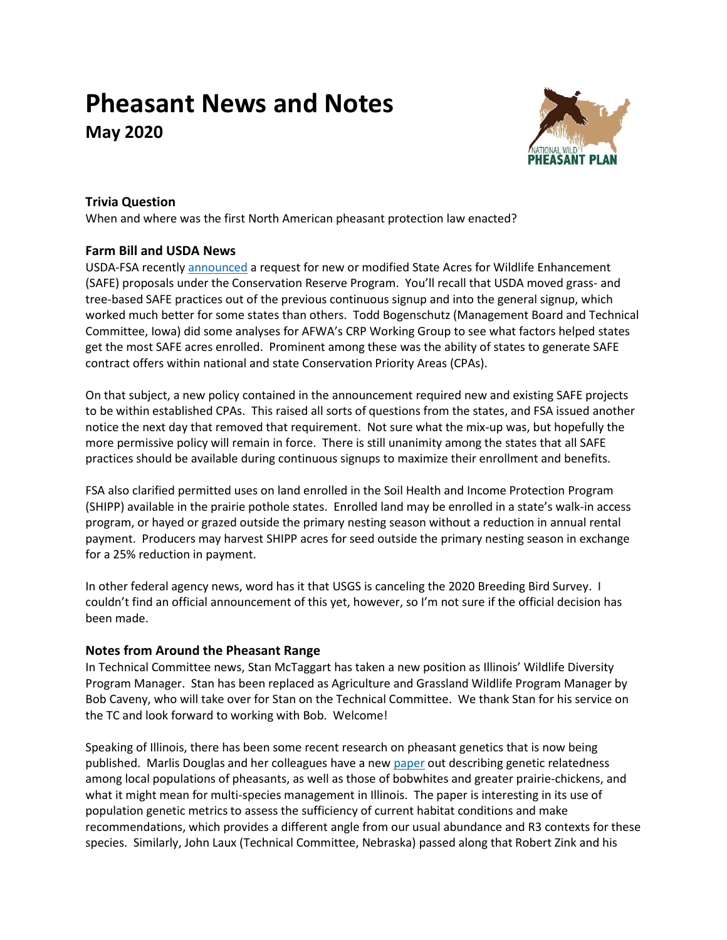# **Pheasant News and Notes May 2020**



# **Trivia Question**

When and where was the first North American pheasant protection law enacted?

## **Farm Bill and USDA News**

USDA-FSA recentl[y announced](https://www.fsa.usda.gov/Internet/FSA_Notice/crp_895.pdf?utm_medium=email&utm_source=govdelivery) a request for new or modified State Acres for Wildlife Enhancement (SAFE) proposals under the Conservation Reserve Program. You'll recall that USDA moved grass- and tree-based SAFE practices out of the previous continuous signup and into the general signup, which worked much better for some states than others. Todd Bogenschutz (Management Board and Technical Committee, Iowa) did some analyses for AFWA's CRP Working Group to see what factors helped states get the most SAFE acres enrolled. Prominent among these was the ability of states to generate SAFE contract offers within national and state Conservation Priority Areas (CPAs).

On that subject, a new policy contained in the announcement required new and existing SAFE projects to be within established CPAs. This raised all sorts of questions from the states, and FSA issued another notice the next day that removed that requirement. Not sure what the mix-up was, but hopefully the more permissive policy will remain in force. There is still unanimity among the states that all SAFE practices should be available during continuous signups to maximize their enrollment and benefits.

FSA also clarified permitted uses on land enrolled in the Soil Health and Income Protection Program (SHIPP) available in the prairie pothole states. Enrolled land may be enrolled in a state's walk-in access program, or hayed or grazed outside the primary nesting season without a reduction in annual rental payment. Producers may harvest SHIPP acres for seed outside the primary nesting season in exchange for a 25% reduction in payment.

In other federal agency news, word has it that USGS is canceling the 2020 Breeding Bird Survey. I couldn't find an official announcement of this yet, however, so I'm not sure if the official decision has been made.

## **Notes from Around the Pheasant Range**

In Technical Committee news, Stan McTaggart has taken a new position as Illinois' Wildlife Diversity Program Manager. Stan has been replaced as Agriculture and Grassland Wildlife Program Manager by Bob Caveny, who will take over for Stan on the Technical Committee. We thank Stan for his service on the TC and look forward to working with Bob. Welcome!

Speaking of Illinois, there has been some recent research on pheasant genetics that is now being published. Marlis Douglas and her colleagues have a ne[w paper](https://doi.org/10.1371/journal.pone.0230735) out describing genetic relatedness among local populations of pheasants, as well as those of bobwhites and greater prairie-chickens, and what it might mean for multi-species management in Illinois. The paper is interesting in its use of population genetic metrics to assess the sufficiency of current habitat conditions and make recommendations, which provides a different angle from our usual abundance and R3 contexts for these species. Similarly, John Laux (Technical Committee, Nebraska) passed along that Robert Zink and his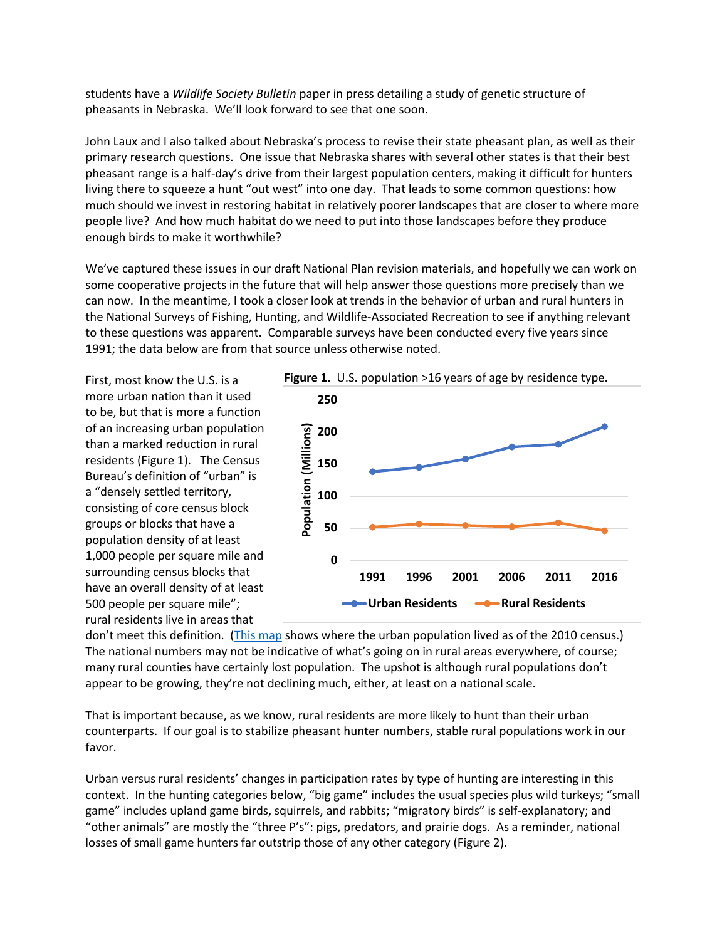students have a *Wildlife Society Bulletin* paper in press detailing a study of genetic structure of pheasants in Nebraska. We'll look forward to see that one soon.

John Laux and I also talked about Nebraska's process to revise their state pheasant plan, as well as their primary research questions. One issue that Nebraska shares with several other states is that their best pheasant range is a half-day's drive from their largest population centers, making it difficult for hunters living there to squeeze a hunt "out west" into one day. That leads to some common questions: how much should we invest in restoring habitat in relatively poorer landscapes that are closer to where more people live? And how much habitat do we need to put into those landscapes before they produce enough birds to make it worthwhile?

We've captured these issues in our draft National Plan revision materials, and hopefully we can work on some cooperative projects in the future that will help answer those questions more precisely than we can now. In the meantime, I took a closer look at trends in the behavior of urban and rural hunters in the National Surveys of Fishing, Hunting, and Wildlife-Associated Recreation to see if anything relevant to these questions was apparent. Comparable surveys have been conducted every five years since 1991; the data below are from that source unless otherwise noted.

First, most know the U.S. is a more urban nation than it used to be, but that is more a function of an increasing urban population than a marked reduction in rural residents (Figure 1). The Census Bureau's definition of "urban" is a "densely settled territory, consisting of core census block groups or blocks that have a population density of at least 1,000 people per square mile and surrounding census blocks that have an overall density of at least 500 people per square mile"; rural residents live in areas that



don't meet this definition. [\(This map](https://www2.census.gov/geo/pdfs/maps-data/maps/thematic/2010ua/UA2010_UA_Pop_Map.pdf) shows where the urban population lived as of the 2010 census.) The national numbers may not be indicative of what's going on in rural areas everywhere, of course; many rural counties have certainly lost population. The upshot is although rural populations don't appear to be growing, they're not declining much, either, at least on a national scale.

That is important because, as we know, rural residents are more likely to hunt than their urban counterparts. If our goal is to stabilize pheasant hunter numbers, stable rural populations work in our favor.

Urban versus rural residents' changes in participation rates by type of hunting are interesting in this context. In the hunting categories below, "big game" includes the usual species plus wild turkeys; "small game" includes upland game birds, squirrels, and rabbits; "migratory birds" is self-explanatory; and "other animals" are mostly the "three P's": pigs, predators, and prairie dogs. As a reminder, national losses of small game hunters far outstrip those of any other category (Figure 2).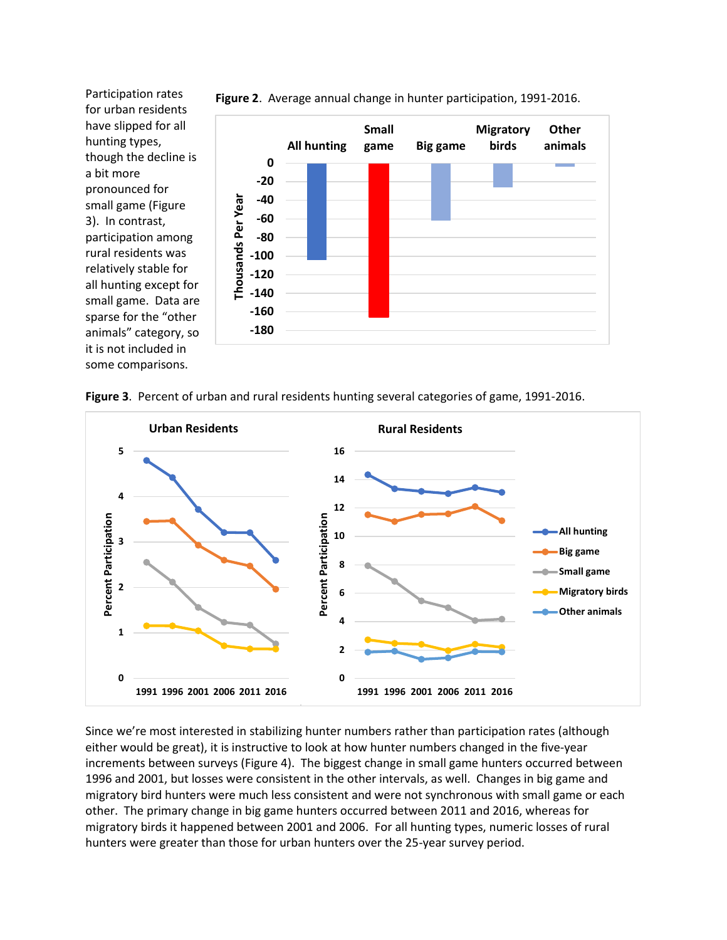Participation rates for urban residents have slipped for all hunting types, though the decline is a bit more pronounced for small game (Figure 3). In contrast, participation among rural residents was relatively stable for all hunting except for small game. Data are sparse for the "other animals" category, so it is not included in some comparisons.



**Figure 2**. Average annual change in hunter participation, 1991-2016.





Since we're most interested in stabilizing hunter numbers rather than participation rates (although either would be great), it is instructive to look at how hunter numbers changed in the five-year increments between surveys (Figure 4). The biggest change in small game hunters occurred between 1996 and 2001, but losses were consistent in the other intervals, as well. Changes in big game and migratory bird hunters were much less consistent and were not synchronous with small game or each other. The primary change in big game hunters occurred between 2011 and 2016, whereas for migratory birds it happened between 2001 and 2006. For all hunting types, numeric losses of rural hunters were greater than those for urban hunters over the 25-year survey period.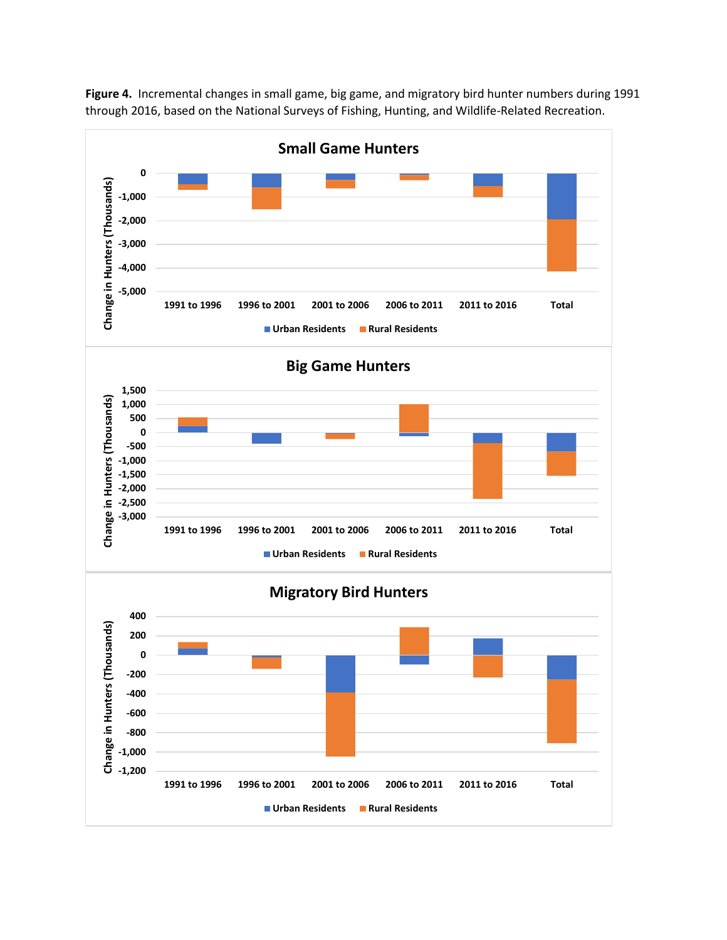

**Figure 4.** Incremental changes in small game, big game, and migratory bird hunter numbers during 1991 through 2016, based on the National Surveys of Fishing, Hunting, and Wildlife-Related Recreation.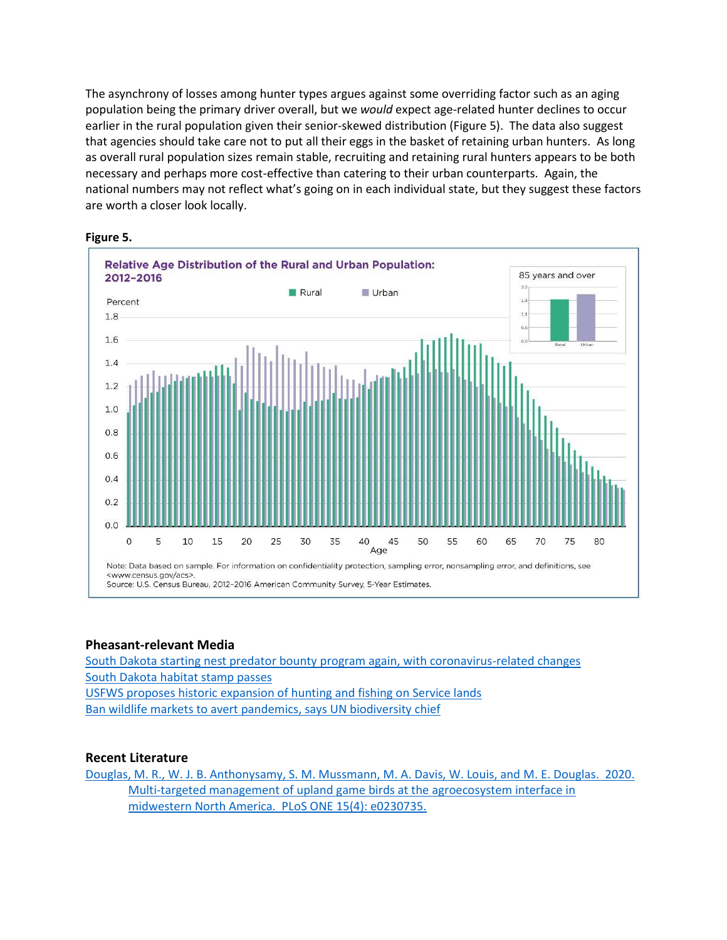The asynchrony of losses among hunter types argues against some overriding factor such as an aging population being the primary driver overall, but we *would* expect age-related hunter declines to occur earlier in the rural population given their senior-skewed distribution (Figure 5). The data also suggest that agencies should take care not to put all their eggs in the basket of retaining urban hunters. As long as overall rural population sizes remain stable, recruiting and retaining rural hunters appears to be both necessary and perhaps more cost-effective than catering to their urban counterparts. Again, the national numbers may not reflect what's going on in each individual state, but they suggest these factors are worth a closer look locally.



#### **Figure 5.**

## **Pheasant-relevant Media**

[South Dakota starting nest predator bounty program again, with coronavirus-related changes](https://www.argusleader.com/story/news/politics/2020/03/24/south-dakota-starting-nest-predator-bounty-program-again-coronavirus-related-changes/2906707001/) [South Dakota habitat stamp](https://brookingsregister.com/article/habitat-funding-on-its-way-to-governor) passes [USFWS proposes historic expansion of hunting and fishing on Service lands](https://www.fws.gov/news/ShowNews.cfm?ref=secretary-bernhardt-proposes-historic-expansion-of-hunting-and-fishing-&_ID=36541) [Ban wildlife markets to avert pandemics, says UN biodiversity chief](https://www.theguardian.com/world/2020/apr/06/ban-live-animal-markets-pandemics-un-biodiversity-chief-age-of-extinction)

## **Recent Literature**

Douglas, M. R., W. [J. B. Anthonysamy, S. M. Mussmann, M. A. Davis, W. Louis, and M. E. Douglas. 2020.](https://doi.org/10.1371/journal.pone.0230735)  [Multi-targeted management of upland game birds at the agroecosystem interface in](https://doi.org/10.1371/journal.pone.0230735)  [midwestern North America. PLoS ONE](https://doi.org/10.1371/journal.pone.0230735) 15(4): e0230735.